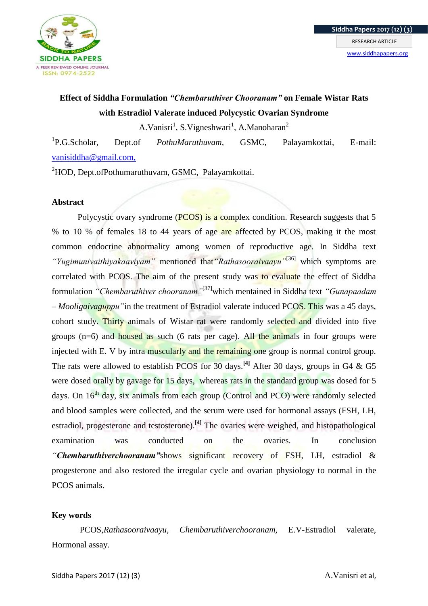

# **Effect of Siddha Formulation** *"Chembaruthiver Chooranam"* **on Female Wistar Rats with Estradiol Valerate induced Polycystic Ovarian Syndrome**

A.Vanisri<sup>1</sup>, S.Vigneshwari<sup>1</sup>, A.Manoharan<sup>2</sup>

 ${}^{1}P.G.Scholar.$ P.G.Scholar, Dept.of *PothuMaruthuvam,* GSMC, Palayamkottai, E-mail: [vanisiddha@gmail.com,](mailto:vanisiddha@gmail.com)

<sup>2</sup>HOD, Dept.ofPothumaruthuvam, GSMC, Palayamkottai.

# **Abstract**

Polycystic ovary syndrome (PCOS) is a complex condition. Research suggests that 5 % to 10 % of females 18 to 44 years of age are affected by PCOS, making it the most common endocrine abnormality among women of reproductive age. In Siddha text *"Yugimunivaithiyakaaviyam"* mentioned that*"Rathasooraivaayu"*[36] which symptoms are correlated with PCOS. The aim of the present study was to evaluate the effect of Siddha formulation *"Chembaruthiver chooranam*"<sup>[37]</sup>which mentained in Siddha text *"Gunapaadam – Mooligaivaguppu"*in the treatment of Estradiol valerate induced PCOS. This was a 45 days, cohort study. Thirty animals of Wistar rat were randomly selected and divided into five groups  $(n=6)$  and housed as such (6 rats per cage). All the animals in four groups were injected with E. V by intra muscularly and the remaining one group is normal control group. The rats were allowed to establish PCOS for 30 days.**[4]** After 30 days, groups in G4 & G5 were dosed orally by gavage for 15 days, whereas rats in the standard group was dosed for 5 days. On 16<sup>th</sup> day, six animals from each group (Control and PCO) were randomly selected and blood samples were collected, and the serum were used for hormonal assays (FSH, LH, estradiol, progesterone and testosterone).<sup>[4]</sup> The ovaries were weighed, and histopathological examination was conducted on the ovaries. In conclusion *"Chembaruthiverchooranam"*shows significant recovery of FSH, LH, estradiol & progesterone and also restored the irregular cycle and ovarian physiology to normal in the PCOS animals.

# **Key words**

PCOS,*Rathasooraivaayu, Chembaruthiverchooranam,* E.V-Estradiol valerate, Hormonal assay.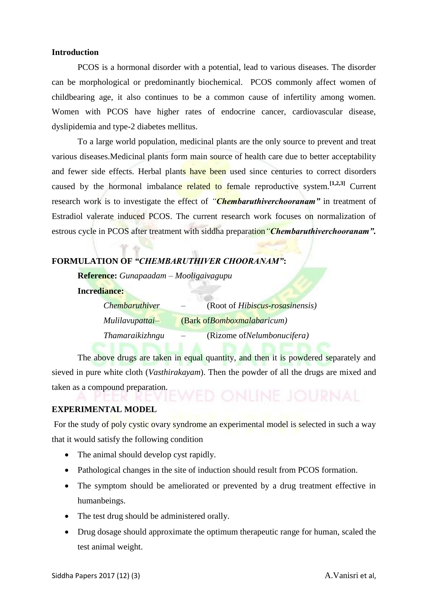# **Introduction**

PCOS is a hormonal disorder with a potential, lead to various diseases. The disorder can be morphological or predominantly biochemical. PCOS commonly affect women of childbearing age, it also continues to be a common cause of infertility among women. Women with PCOS have higher rates of endocrine cancer, cardiovascular disease, dyslipidemia and type-2 diabetes mellitus.

To a large world population, medicinal plants are the only source to prevent and treat various diseases.Medicinal plants form main source of health care due to better acceptability and fewer side effects. Herbal plants have been used since centuries to correct disorders caused by the hormonal imbalance related to female reproductive system.**[1,2,3]** Current research work is to investigate the effect of *"Chembaruthiverchooranam"* in treatment of Estradiol valerate induced PCOS. The current research work focuses on normalization of estrous cycle in PCOS after treatment with siddha preparation*"Chembaruthiverchooranam".*

# **FORMULATION OF** *"CHEMBARUTHIVER CHOORANAM"***:**

**Reference:** *Gunapaadam – Mooligaivagupu*

**Incrediance:** 

| <i>Chembaruthiver</i> | (Root of <i>Hibiscus-rosasinensis</i> ) |
|-----------------------|-----------------------------------------|
| Mulilavupattai-       | (Bark of Bomboxmalabaricum)             |
| Thamaraikizhngu       | (Rizome of <i>Nelumbonucifera</i> )     |

The above drugs are taken in equal quantity, and then it is powdered separately and sieved in pure white cloth (*Vasthirakayam*). Then the powder of all the drugs are mixed and taken as a compound preparation.

### **EXPERIMENTAL MODEL**

For the study of poly cystic ovary syndrome an experimental model is selected in such a way that it would satisfy the following condition

- The animal should develop cyst rapidly.
- Pathological changes in the site of induction should result from PCOS formation.
- The symptom should be ameliorated or prevented by a drug treatment effective in humanbeings.
- The test drug should be administered orally.
- Drug dosage should approximate the optimum therapeutic range for human, scaled the test animal weight.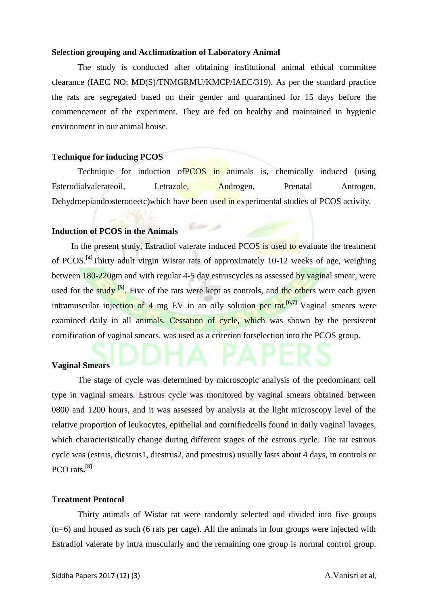#### **Selection grouping and Acclimatization of Laboratory Animal**

The study is conducted after obtaining institutional animal ethical committee clearance (IAEC NO: MD(S)/TNMGRMU/KMCP/IAEC/319). As per the standard practice the rats are segregated based on their gender and quarantined for 15 days before the commencement of the experiment. They are fed on healthy and maintained in hygienic environment in our animal house.

# **Technique for inducing PCOS**

Technique for induction of **PCOS** in animals is, chemically induced (using Esterodialvalerateoil, Letrazole, Androgen, Prenatal Antrogen, Dehydroepiandrosteroneetc)which have been used in experimental studies of PCOS activity.

#### **Induction of PCOS in the Animals**

In the present study, Estradiol valerate induced PCOS is used to evaluate the treatment of PCOS.**[4]**Thirty adult virgin Wistar rats of approximately 10-12 weeks of age, weighing between 180-220gm and with regular 4-5 day estruscycles as assessed by vaginal smear, were used for the study <sup>[5]</sup>. Five of the rats were kept as controls, and the others were each given intramuscular injection of 4 mg EV in an oily solution per rat.<sup>[6,7]</sup> Vaginal smears were examined daily in all animals. Cessation of cycle, which was shown by the persistent cornification of vaginal smears, was used as a criterion forselection into the PCOS group.

### **Vaginal Smears**

The stage of cycle was determined by microscopic analysis of the predominant cell type in vaginal smears. Estrous cycle was monitored by vaginal smears obtained between 0800 and 1200 hours, and it was assessed by analysis at the light microscopy level of the relative proportion of leukocytes, epithelial and cornifiedcells found in daily vaginal lavages, which characteristically change during different stages of the estrous cycle. The rat estrous cycle was (estrus, diestrus1, diestrus2, and proestrus) usually lasts about 4 days, in controls or PCO rats**. [8]**

#### **Treatment Protocol**

Thirty animals of Wistar rat were randomly selected and divided into five groups (n=6) and housed as such (6 rats per cage). All the animals in four groups were injected with Estradiol valerate by intra muscularly and the remaining one group is normal control group.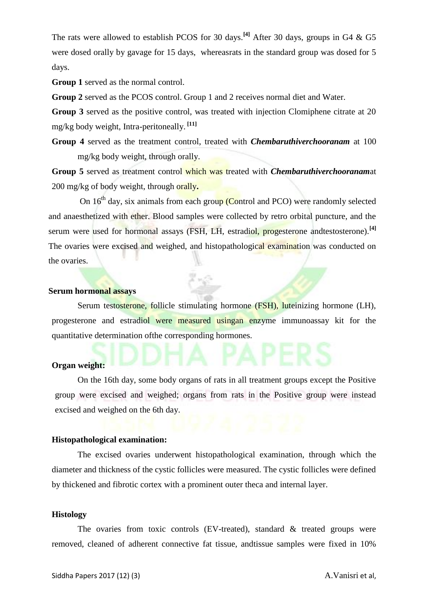The rats were allowed to establish PCOS for 30 days.**[4]** After 30 days, groups in G4 & G5 were dosed orally by gavage for 15 days, whereasrats in the standard group was dosed for 5 days.

**Group 1** served as the normal control.

**Group 2** served as the PCOS control. Group 1 and 2 receives normal diet and Water.

**Group 3** served as the positive control, was treated with injection Clomiphene citrate at 20 mg/kg body weight, Intra-peritoneally. **[11]**

**Group 4** served as the treatment control, treated with *Chembaruthiverchooranam* at 100 mg/kg body weight, through orally.

**Group 5** served as treatment control which was treated with *Chembaruthiverchooranam*at 200 mg/kg of body weight, through orally**.**

On  $16<sup>th</sup>$  day, six animals from each group (Control and PCO) were randomly selected and anaesthetized with ether. Blood samples were collected by retro orbital puncture, and the serum were used for hormonal assays (FSH, LH, estradiol, progesterone andtestosterone).**[4]** The ovaries were excised and weighed, and histopathological examination was conducted on the ovaries.

# **Serum hormonal assays**

Serum testosterone, follicle stimulating hormone (FSH), luteinizing hormone (LH), progesterone and estradiol were measured usingan enzyme immunoassay kit for the quantitative determination ofthe corresponding hormones.

#### **Organ weight:**

On the 16th day, some body organs of rats in all treatment groups except the Positive group were excised and weighed; organs from rats in the Positive group were instead excised and weighed on the 6th day.

#### **Histopathological examination:**

The excised ovaries underwent histopathological examination, through which the diameter and thickness of the cystic follicles were measured. The cystic follicles were defined by thickened and fibrotic cortex with a prominent outer theca and internal layer.

#### **Histology**

The ovaries from toxic controls (EV-treated), standard  $\&$  treated groups were removed, cleaned of adherent connective fat tissue, andtissue samples were fixed in 10%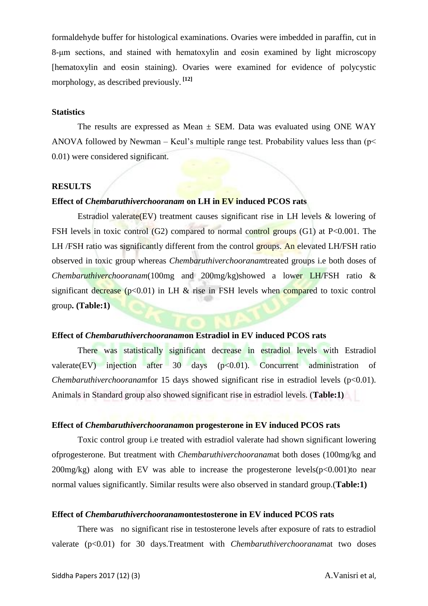formaldehyde buffer for histological examinations. Ovaries were imbedded in paraffin, cut in 8-μm sections, and stained with hematoxylin and eosin examined by light microscopy [hematoxylin and eosin staining). Ovaries were examined for evidence of polycystic morphology, as described previously. **[12]**

#### **Statistics**

The results are expressed as Mean  $\pm$  SEM. Data was evaluated using ONE WAY ANOVA followed by Newman – Keul's multiple range test. Probability values less than ( $p$  < 0.01) were considered significant.

#### **RESULTS**

# **Effect of** *Chembaruthiverchooranam* **on LH in EV induced PCOS rats**

Estradiol valerate(EV) treatment causes significant rise in LH levels & lowering of FSH levels in toxic control (G2) compared to normal control groups (G1) at P<0.001. The LH /FSH ratio was significantly different from the control groups. An elevated LH/FSH ratio observed in toxic group whereas *Chembaruthiverchooranam*treated groups i.e both doses of *Chembaruthiverchooranam*(100mg and 200mg/kg)showed a lower LH/FSH ratio & significant decrease ( $p<0.01$ ) in LH & rise in FSH levels when compared to toxic control group**. (Table:1)**

#### **Effect of** *Chembaruthiverchooranam***on Estradiol in EV induced PCOS rats**

There was statistically significant decrease in estradiol levels with Estradiol valerate(EV) injection after  $30$  days ( $p<0.01$ ). Concurrent administration of *Chembaruthiverchooranam*for 15 days showed significant rise in estradiol levels (p<0.01). Animals in Standard group also showed significant rise in estradiol levels. (**Table:1)**

# **Effect of** *Chembaruthiverchooranam***on progesterone in EV induced PCOS rats**

Toxic control group i.e treated with estradiol valerate had shown significant lowering ofprogesterone. But treatment with *Chembaruthiverchooranam*at both doses (100mg/kg and  $200$ mg/kg) along with EV was able to increase the progesterone levels( $p<0.001$ )to near normal values significantly. Similar results were also observed in standard group.(**Table:1)**

#### **Effect of** *Chembaruthiverchooranam***ontestosterone in EV induced PCOS rats**

There was no significant rise in testosterone levels after exposure of rats to estradiol valerate (p<0.01) for 30 days.Treatment with *Chembaruthiverchooranam*at two doses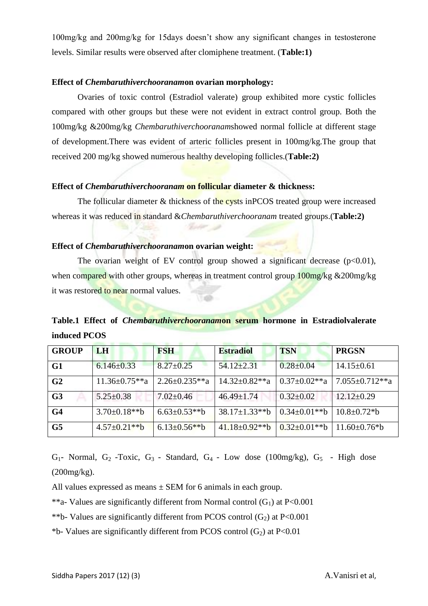100mg/kg and 200mg/kg for 15days doesn't show any significant changes in testosterone levels. Similar results were observed after clomiphene treatment. (**Table:1)**

### **Effect of** *Chembaruthiverchooranam***on ovarian morphology:**

Ovaries of toxic control (Estradiol valerate) group exhibited more cystic follicles compared with other groups but these were not evident in extract control group. Both the 100mg/kg &200mg/kg *Chembaruthiverchooranam*showed normal follicle at different stage of development.There was evident of arteric follicles present in 100mg/kg.The group that received 200 mg/kg showed numerous healthy developing follicles.(**Table:2)**

# **Effect of** *Chembaruthiverchooranam* **on follicular diameter & thickness:**

The follicular diameter & thickness of the cysts in PCOS treated group were increased whereas it was reduced in standard &*Chembaruthiverchooranam* treated groups.(**Table:2)**

**Contact** 

### **Effect of** *Chembaruthiverchooranam***on ovarian weight:**

The ovarian weight of EV control group showed a significant decrease  $(p<0.01)$ , when compared with other groups, whereas in treatment control group 100mg/kg &200mg/kg it was restored to near normal values.

# **Table.1 Effect of** *Chembaruthiverchooranam***on serum hormone in Estradiolvalerate induced PCOS**

| <b>GROUP</b>   | LH                  | <b>FSH</b>          | <b>Estradiol</b>     | <b>TSN</b>          | <b>PRGSN</b>         |
|----------------|---------------------|---------------------|----------------------|---------------------|----------------------|
| G1             | $6.146 \pm 0.33$    | $8.27 \pm 0.25$     | $54.12 \pm 2.31$     | $0.28 \pm 0.04$     | $14.15 \pm 0.61$     |
| G <sub>2</sub> | $11.36 \pm 0.75**a$ | $2.26 \pm 0.235**a$ | $14.32 \pm 0.82**$ a | $0.37 \pm 0.02$ **a | $7.055 \pm 0.712**a$ |
| G <sub>3</sub> | $5.25 \pm 0.38$     | $7.02 \pm 0.46$     | $46.49 \pm 1.74$     | $0.32 \pm 0.02$     | $12.12 \pm 0.29$     |
| G <sub>4</sub> | $3.70 \pm 0.18**b$  | $6.63 \pm 0.53$ **b | $38.17 \pm 1.33$ **b | $0.34 \pm 0.01**b$  | $10.8 \pm 0.72 * b$  |
| G <sub>5</sub> | $4.57 \pm 0.21$ **b | $6.13 \pm 0.56$ **b | $41.18 \pm 0.92$ **b | $0.32 \pm 0.01$ **b | $11.60\pm0.76*b$     |

 $G_1$ - Normal,  $G_2$ -Toxic,  $G_3$ - Standard,  $G_4$ - Low dose (100mg/kg),  $G_5$ - High dose (200mg/kg).

All values expressed as means  $\pm$  SEM for 6 animals in each group.

\*\*a- Values are significantly different from Normal control  $(G_1)$  at P<0.001

\*\*b- Values are significantly different from PCOS control  $(G_2)$  at P<0.001

\*b- Values are significantly different from PCOS control  $(G<sub>2</sub>)$  at P<0.01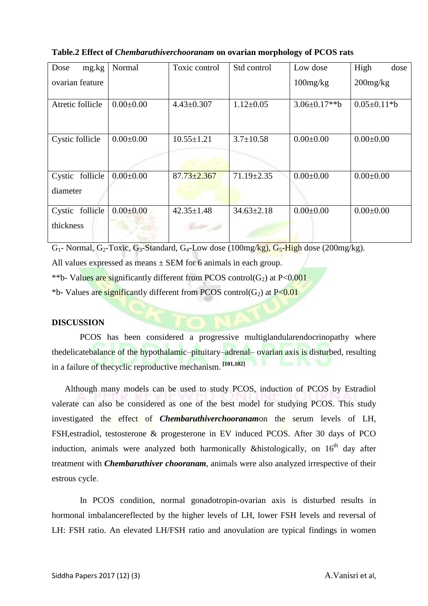| Dose<br>mg.kg                   | Normal          | Toxic control     | Std control      | Low dose           | High<br>dose       |
|---------------------------------|-----------------|-------------------|------------------|--------------------|--------------------|
| ovarian feature                 |                 |                   |                  | $100$ mg/ $kg$     | $200$ mg/kg        |
| Atretic follicle                | $0.00 \pm 0.00$ | $4.43 \pm 0.307$  | $1.12 \pm 0.05$  | $3.06 \pm 0.17**b$ | $0.05 \pm 0.11* b$ |
| Cystic follicle                 | $0.00 \pm 0.00$ | $10.55 \pm 1.21$  | $3.7 \pm 10.58$  | $0.00 \pm 0.00$    | $0.00 \pm 0.00$    |
| follicle<br>Cystic<br>diameter  | $0.00 \pm 0.00$ | $87.73 \pm 2.367$ | $71.19 \pm 2.35$ | $0.00 \pm 0.00$    | $0.00 \pm 0.00$    |
| follicle<br>Cystic<br>thickness | $0.00 \pm 0.00$ | $42.35 \pm 1.48$  | $34.63 \pm 2.18$ | $0.00 \pm 0.00$    | $0.00 \pm 0.00$    |

**Table.2 Effect of** *Chembaruthiverchooranam* **on ovarian morphology of PCOS rats**

 $G_1$ - Normal,  $G_2$ -Toxic,  $G_3$ -Standard,  $G_4$ -Low dose (100mg/kg),  $G_5$ -High dose (200mg/kg).

All values expressed as means  $\pm$  SEM for 6 animals in each group.

\*\*b- Values are significantly different from PCOS control( $G_2$ ) at P<0.001

\*b- Values are significantly different from PCOS control( $G_2$ ) at P<0.01

# **DISCUSSION**

PCOS has been considered a progressive multiglandularendocrinopathy where thedelicatebalance of the hypothalamic–pituitary–adrenal– ovarian axis is disturbed, resulting in a failure of thecyclic reproductive mechanism. **[101,102]**

 Although many models can be used to study PCOS, induction of PCOS by Estradiol valerate can also be considered as one of the best model for studying PCOS. This study investigated the effect of *Chembaruthiverchooranam*on the serum levels of LH, FSH,estradiol, testosterone & progesterone in EV induced PCOS. After 30 days of PCO induction, animals were analyzed both harmonically &histologically, on  $16<sup>th</sup>$  day after treatment with *Chembaruthiver chooranam*, animals were also analyzed irrespective of their estrous cycle.

In PCOS condition, normal gonadotropin-ovarian axis is disturbed results in hormonal imbalancereflected by the higher levels of LH, lower FSH levels and reversal of LH: FSH ratio. An elevated LH/FSH ratio and anovulation are typical findings in women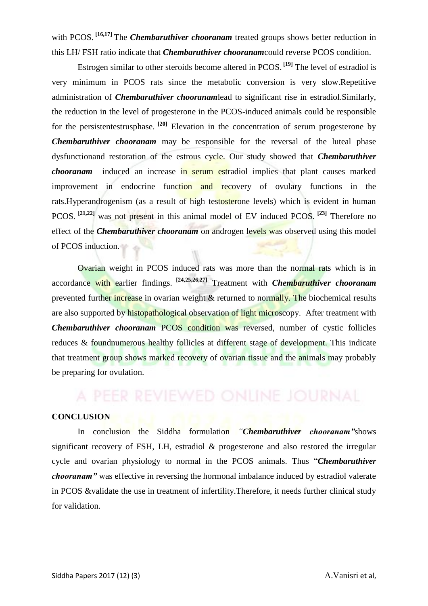with PCOS.<sup>[16,17]</sup> The *Chembaruthiver chooranam* treated groups shows better reduction in this LH/ FSH ratio indicate that *Chembaruthiver chooranam*could reverse PCOS condition.

Estrogen similar to other steroids become altered in PCOS. **[19]** The level of estradiol is very minimum in PCOS rats since the metabolic conversion is very slow.Repetitive administration of *Chembaruthiver chooranam*lead to significant rise in estradiol.Similarly, the reduction in the level of progesterone in the PCOS-induced animals could be responsible for the persistentestrusphase. **[20]** Elevation in the concentration of serum progesterone by *Chembaruthiver chooranam* may be responsible for the reversal of the luteal phase dysfunctionand restoration of the estrous cycle. Our study showed that *Chembaruthiver chooranam* induced an increase in serum estradiol implies that plant causes marked improvement in endocrine function and recovery of ovulary functions in the rats.Hyperandrogenism (as a result of high testosterone levels) which is evident in human PCOS. **[21,22]** was not present in this animal model of EV induced PCOS. **[23]** Therefore no effect of the *Chembaruthiver chooranam* on androgen levels was observed using this model of PCOS induction.

Ovarian weight in PCOS induced rats was more than the normal rats which is in accordance with earlier findings. **[24,25,26,27]** Treatment with *Chembaruthiver chooranam* prevented further increase in ovarian weight & returned to normally. The biochemical results are also supported by histopathological observation of light microscopy. After treatment with *Chembaruthiver chooranam* PCOS condition was reversed, number of cystic follicles reduces & foundnumerous healthy follicles at different stage of development. This indicate that treatment group shows marked recovery of ovarian tissue and the animals may probably be preparing for ovulation.

#### **CONCLUSION**

In conclusion the Siddha formulation *"Chembaruthiver chooranam"*shows significant recovery of FSH, LH, estradiol & progesterone and also restored the irregular cycle and ovarian physiology to normal in the PCOS animals. Thus "*Chembaruthiver chooranam"* was effective in reversing the hormonal imbalance induced by estradiol valerate in PCOS &validate the use in treatment of infertility.Therefore, it needs further clinical study for validation.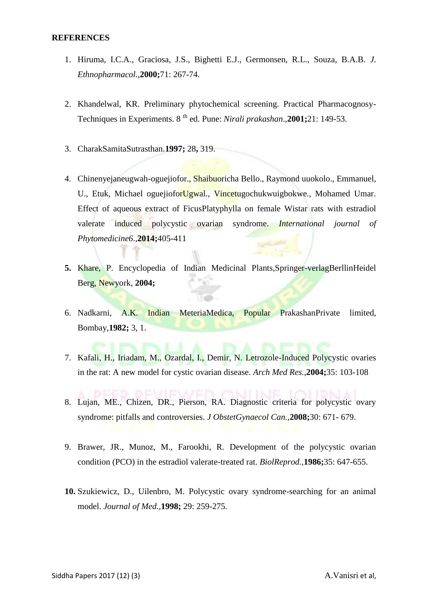#### **REFERENCES**

- 1. Hiruma, I.C.A., Graciosa, J.S., Bighetti E.J., Germonsen, R.L., Souza, B.A.B*. J*. *Ethnopharmacol.,***2000;**71: 267-74.
- 2. Khandelwal, KR. Preliminary phytochemical screening. Practical Pharmacognosy-Techniques in Experiments. 8<sup>th</sup> ed. Pune: *Nirali prakashan*., **2001**;21: 149-53.
- 3. CharakSamitaSutrasthan.**1997;** 28**,** 319.
- 4. Chinenyejaneugwah-oguejiofor., Shaibuoricha Bello., Raymond uuokolo., Emmanuel, U., Etuk, Michael oguejioforUgwal., Vincetugochukwuigbokwe., Mohamed Umar. Effect of aqueous extract of FicusPlatyphylla on female Wistar rats with estradiol valerate induced polycystic ovarian syndrome. *International journal of Phytomedicine6*.,**2014;**405-411
- **5.** Khare, P. Encyclopedia of Indian Medicinal Plants,Springer-verlagBerllinHeidel Berg, Newyork, **2004;**
- 6. Nadkarni, A.K. Indian MeteriaMedica, Popular PrakashanPrivate limited, Bombay,**1982;** 3, 1.
- 7. Kafali, H., Iriadam, M., Ozardal, I., Demir, N. Letrozole-Induced Polycystic ovaries in the rat: A new model for cystic ovarian disease. *Arch Med Res.,***2004;**35: 103-108
- 8. Lujan, ME., Chizen, DR., Pierson, RA. Diagnostic criteria for polycystic ovary syndrome: pitfalls and controversies. *J ObstetGynaecol Can.,***2008;**30: 671- 679.
- 9. Brawer, JR., Munoz, M., Farookhi, R. Development of the polycystic ovarian condition (PCO) in the estradiol valerate-treated rat. *BiolReprod.,***1986;**35: 647-655.
- **10.** Szukiewicz, D., Uilenbro, M. Polycystic ovary syndrome-searching for an animal model. *Journal of Med.,***1998;** 29: 259-275.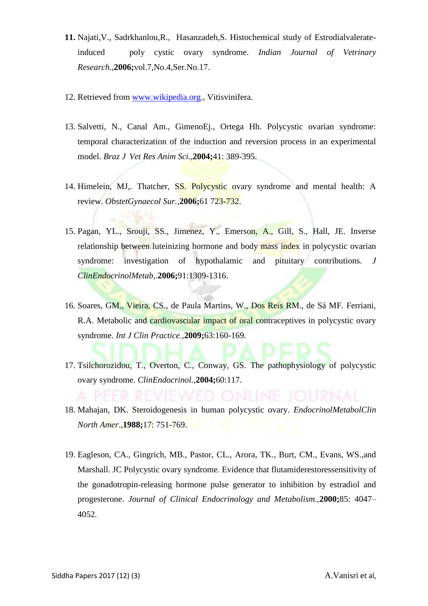- **11.** Najati,V., Sadrkhanlou,R., Hasanzadeh,S. Histochemical study of Estrodialvalerateinduced poly cystic ovary syndrome. *Indian Journal of Vetrinary Research.,***2006;**vol.7,No.4,Ser.No.17.
- 12. Retrieved from [www.wikipedia.org.](http://www.wikipedia.org/), Vitisvinifera.
- 13. Salvetti, N., Canal Am., GimenoEj., Ortega Hh. Polycystic ovarian syndrome: temporal characterization of the induction and reversion process in an experimental model. *Braz J Vet Res Anim Sci.,***2004;**41: 389-395.
- 14. Himelein, MJ., Thatcher, SS. Polycystic ovary syndrome and mental health: A review. *ObstetGynaecol Sur.,***2006;**61 723-732.
- 15. Pagan, YL., Srouji, SS., Jimenez, Y., Emerson, A., Gill, S., Hall, JE. Inverse relationship between luteinizing hormone and body mass index in polycystic ovarian syndrome: investigation of hypothalamic and pituitary contributions. *J ClinEndocrinolMetab,*.**2006;**91:1309-1316.
- 16. Soares, GM., Vieira, CS., de Paula Martins, W., Dos Reis RM., de Sá MF. Ferriani, R.A. Metabolic and cardiovascular impact of oral contraceptives in polycystic ovary syndrome. *Int J Clin Practice.,***2009;**63:160-169.
- 17. Tsilchorozidou, T., Overton, C., Conway, GS. The pathophysiology of polycystic ovary syndrome. *ClinEndocrinol.,***2004;**60:117.
- 18. Mahajan, DK. Steroidogenesis in human polycystic ovary. *EndocrinolMetabolClin North Amer*.,**1988;**17: 751-769.
- 19. Eagleson, CA., Gingrich, MB., Pastor, CL., Arora, TK., Burt, CM., Evans, WS.,and Marshall. JC Polycystic ovary syndrome. Evidence that flutamiderestoressensitivity of the gonadotropin-releasing hormone pulse generator to inhibition by estradiol and progesterone. *Journal of Clinical Endocrinology and Metabolism.,***2000;**85: 4047– 4052.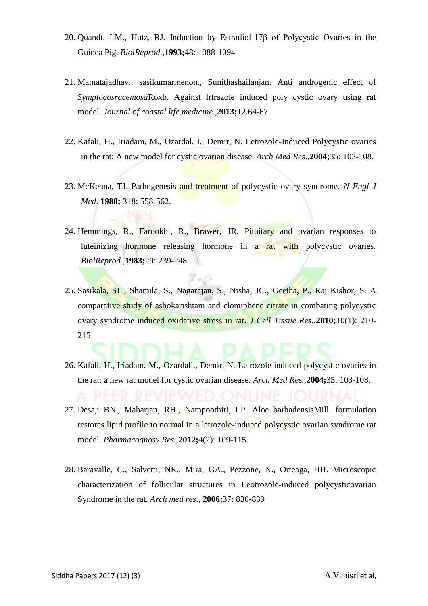- 20. Quandt, LM., Hutz, RJ. Induction by Estradiol-17β of Polycystic Ovaries in the Guinea Pig. *BiolReprod.,***1993;**48: 1088-1094
- 21. Mamatajadhav., sasikumarmenon., Sunithashailanjan. Anti androgenic effect of *Symplocosracemosa*Roxb. Against lrtrazole induced poly cystic ovary using rat model. *Journal of coastal life medicine.,***2013;**12.64-67.
- 22. Kafali, H., Iriadam, M., Ozardal, I., Demir, N. Letrozole-Induced Polycystic ovaries in the rat: A new model for cystic ovarian disease. *Arch Med Res*.,**2004;**35: 103-108.
- 23. McKenna, TJ. Pathogenesis and treatment of polycystic ovary syndrome. *N Engl J Med*. **1988;** 318: 558-562.
- 24. Hemmings, R., Farookhi, R., Brawer, JR. Pituitary and ovarian responses to luteinizing hormone releasing hormone in a rat with polycystic ovaries. *BiolReprod.,***1983;**29: 239-248
- 25. Sasikala, SL., Shamila, S., Nagarajan, S., Nisha, JC., Geetha, P., Raj Kishor, S. A comparative study of ashokarishtam and clomiphene citrate in combating polycystic ovary syndrome induced oxidative stress in rat. *J Cell Tissue Res.,***2010;**10(1): 210- 215
- 26. Kafali, H., Iriadam, M., Ozardali., Demir, N. Letrozole induced polycystic ovaries in the rat: a new rat model for cystic ovarian disease. *Arch Med Res.,***2004;**35: 103-108.
- 27. Desa,i BN., Maharjan, RH., Nampoothiri, LP. Aloe barbadensisMill. formulation restores lipid profile to normal in a letrozole-induced polycystic ovarian syndrome rat model. *Pharmacognosy Res.,***2012;**4(2): 109-115.
- 28. Baravalle, C., Salvetti, NR., Mira, GA., Pezzone, N., Orteaga, HH. Microscopic characterization of follicular structures in Leotrozole-induced polycysticovarian Syndrome in the rat. *Arch med res*., **2006;**37: 830-839